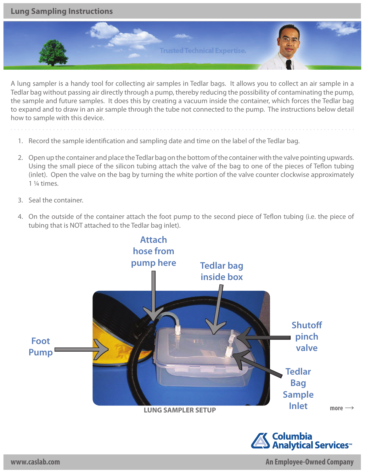**Lung Sampling Instructions**



A lung sampler is a handy tool for collecting air samples in Tedlar bags. It allows you to collect an air sample in a Tedlar bag without passing air directly through a pump, thereby reducing the possibility of contaminating the pump, the sample and future samples. It does this by creating a vacuum inside the container, which forces the Tedlar bag to expand and to draw in an air sample through the tube not connected to the pump. The instructions below detail how to sample with this device.

- 1. Record the sample identification and sampling date and time on the label of the Tedlar bag.
- 2. Open up the container and place the Tedlar bag on the bottom of the container with the valve pointing upwards. Using the small piece of the silicon tubing attach the valve of the bag to one of the pieces of Teflon tubing (inlet). Open the valve on the bag by turning the white portion of the valve counter clockwise approximately 1 ¼ times.
- 3. Seal the container.
- 4. On the outside of the container attach the foot pump to the second piece of Teflon tubing (i.e. the piece of tubing that is NOT attached to the Tedlar bag inlet).



**www.caslab.com An Employee-Owned Company**